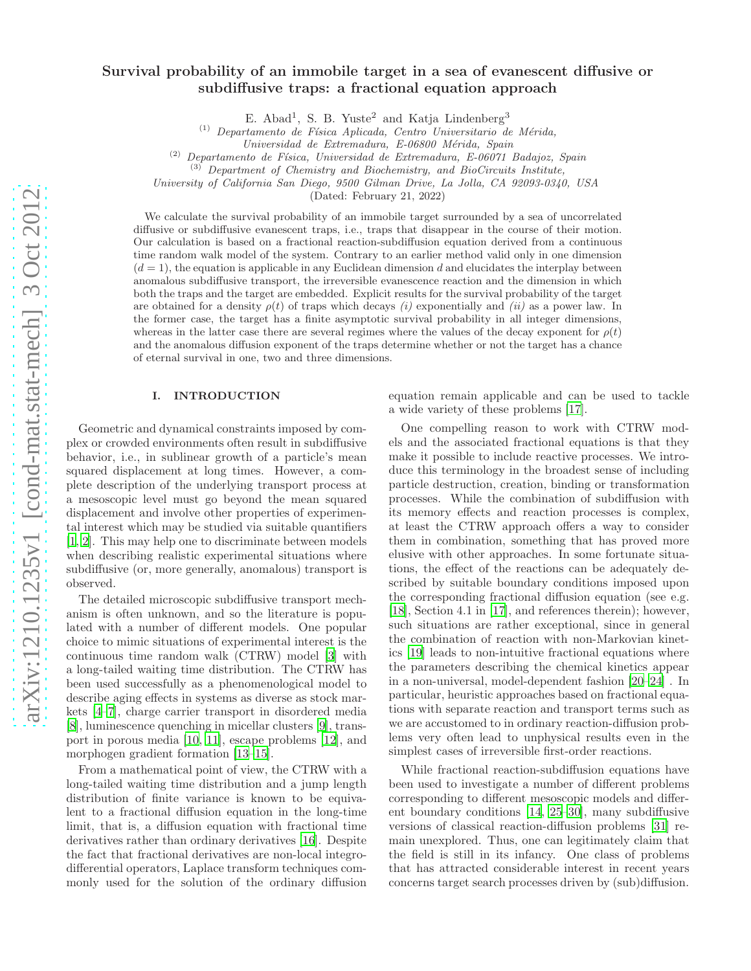# Survival probability of an immobile target in a sea of evanescent diffusive or subdiffusive traps: a fractional equation approach

E. Abad<sup>1</sup>, S. B. Yuste<sup>2</sup> and Katja Lindenberg<sup>3</sup>

 $(1)$  Departamento de Física Aplicada, Centro Universitario de Mérida,

Universidad de Extremadura, E-06800 Mérida, Spain

 $(2)$  Departamento de Física, Universidad de Extremadura, E-06071 Badajoz, Spain

 $^{(3)}$  Department of Chemistry and Biochemistry, and BioCircuits Institute,

University of California San Diego, 9500 Gilman Drive, La Jolla, CA 92093-0340, USA

(Dated: February 21, 2022)

We calculate the survival probability of an immobile target surrounded by a sea of uncorrelated diffusive or subdiffusive evanescent traps, i.e., traps that disappear in the course of their motion. Our calculation is based on a fractional reaction-subdiffusion equation derived from a continuous time random walk model of the system. Contrary to an earlier method valid only in one dimension  $(d = 1)$ , the equation is applicable in any Euclidean dimension d and elucidates the interplay between anomalous subdiffusive transport, the irreversible evanescence reaction and the dimension in which both the traps and the target are embedded. Explicit results for the survival probability of the target are obtained for a density  $\rho(t)$  of traps which decays (i) exponentially and (ii) as a power law. In the former case, the target has a finite asymptotic survival probability in all integer dimensions, whereas in the latter case there are several regimes where the values of the decay exponent for  $\rho(t)$ and the anomalous diffusion exponent of the traps determine whether or not the target has a chance of eternal survival in one, two and three dimensions.

### I. INTRODUCTION

Geometric and dynamical constraints imposed by complex or crowded environments often result in subdiffusive behavior, i.e., in sublinear growth of a particle's mean squared displacement at long times. However, a complete description of the underlying transport process at a mesoscopic level must go beyond the mean squared displacement and involve other properties of experimental interest which may be studied via suitable quantifiers [\[1,](#page-8-0) [2](#page-8-1)]. This may help one to discriminate between models when describing realistic experimental situations where subdiffusive (or, more generally, anomalous) transport is observed.

The detailed microscopic subdiffusive transport mechanism is often unknown, and so the literature is populated with a number of different models. One popular choice to mimic situations of experimental interest is the continuous time random walk (CTRW) model [\[3\]](#page-8-2) with a long-tailed waiting time distribution. The CTRW has been used successfully as a phenomenological model to describe aging effects in systems as diverse as stock markets [\[4](#page-8-3)[–7\]](#page-8-4), charge carrier transport in disordered media [\[8\]](#page-8-5), luminescence quenching in micellar clusters [\[9](#page-8-6)], transport in porous media [\[10](#page-8-7), [11](#page-8-8)], escape problems [\[12](#page-8-9)], and morphogen gradient formation [\[13](#page-8-10)[–15\]](#page-8-11).

From a mathematical point of view, the CTRW with a long-tailed waiting time distribution and a jump length distribution of finite variance is known to be equivalent to a fractional diffusion equation in the long-time limit, that is, a diffusion equation with fractional time derivatives rather than ordinary derivatives [\[16\]](#page-8-12). Despite the fact that fractional derivatives are non-local integrodifferential operators, Laplace transform techniques commonly used for the solution of the ordinary diffusion equation remain applicable and can be used to tackle a wide variety of these problems [\[17\]](#page-8-13).

One compelling reason to work with CTRW models and the associated fractional equations is that they make it possible to include reactive processes. We introduce this terminology in the broadest sense of including particle destruction, creation, binding or transformation processes. While the combination of subdiffusion with its memory effects and reaction processes is complex, at least the CTRW approach offers a way to consider them in combination, something that has proved more elusive with other approaches. In some fortunate situations, the effect of the reactions can be adequately described by suitable boundary conditions imposed upon the corresponding fractional diffusion equation (see e.g. [\[18\]](#page-8-14), Section 4.1 in [\[17\]](#page-8-13), and references therein); however, such situations are rather exceptional, since in general the combination of reaction with non-Markovian kinetics [\[19](#page-8-15)] leads to non-intuitive fractional equations where the parameters describing the chemical kinetics appear in a non-universal, model-dependent fashion [\[20](#page-8-16)[–24\]](#page-8-17) . In particular, heuristic approaches based on fractional equations with separate reaction and transport terms such as we are accustomed to in ordinary reaction-diffusion problems very often lead to unphysical results even in the simplest cases of irreversible first-order reactions.

While fractional reaction-subdiffusion equations have been used to investigate a number of different problems corresponding to different mesoscopic models and different boundary conditions [\[14,](#page-8-18) [25](#page-8-19)[–30\]](#page-8-20), many subdiffusive versions of classical reaction-diffusion problems [\[31](#page-8-21)] remain unexplored. Thus, one can legitimately claim that the field is still in its infancy. One class of problems that has attracted considerable interest in recent years concerns target search processes driven by (sub)diffusion.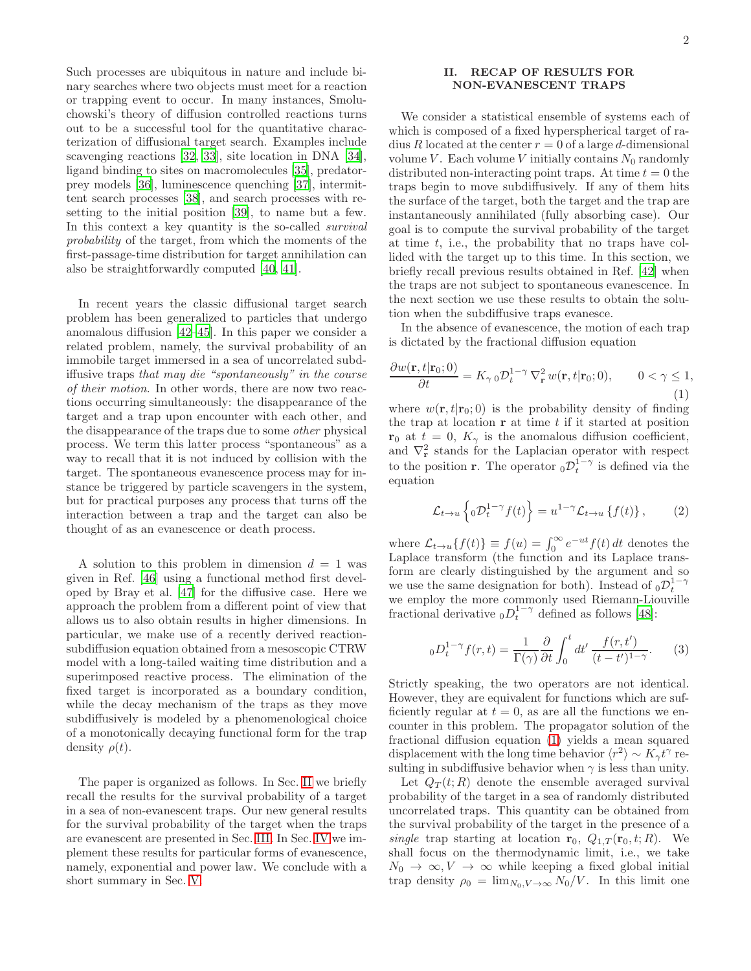Such processes are ubiquitous in nature and include binary searches where two objects must meet for a reaction or trapping event to occur. In many instances, Smoluchowski's theory of diffusion controlled reactions turns out to be a successful tool for the quantitative characterization of diffusional target search. Examples include scavenging reactions [\[32](#page-8-22), [33\]](#page-8-23), site location in DNA [\[34\]](#page-8-24), ligand binding to sites on macromolecules [\[35](#page-9-0)], predatorprey models [\[36\]](#page-9-1), luminescence quenching [\[37\]](#page-9-2), intermittent search processes [\[38\]](#page-9-3), and search processes with resetting to the initial position [\[39](#page-9-4)], to name but a few. In this context a key quantity is the so-called *survival* probability of the target, from which the moments of the first-passage-time distribution for target annihilation can also be straightforwardly computed [\[40,](#page-9-5) [41\]](#page-9-6).

In recent years the classic diffusional target search problem has been generalized to particles that undergo anomalous diffusion [\[42](#page-9-7)[–45](#page-9-8)]. In this paper we consider a related problem, namely, the survival probability of an immobile target immersed in a sea of uncorrelated subdiffusive traps that may die "spontaneously" in the course of their motion. In other words, there are now two reactions occurring simultaneously: the disappearance of the target and a trap upon encounter with each other, and the disappearance of the traps due to some other physical process. We term this latter process "spontaneous" as a way to recall that it is not induced by collision with the target. The spontaneous evanescence process may for instance be triggered by particle scavengers in the system, but for practical purposes any process that turns off the interaction between a trap and the target can also be thought of as an evanescence or death process.

A solution to this problem in dimension  $d = 1$  was given in Ref. [\[46\]](#page-9-9) using a functional method first developed by Bray et al. [\[47](#page-9-10)] for the diffusive case. Here we approach the problem from a different point of view that allows us to also obtain results in higher dimensions. In particular, we make use of a recently derived reactionsubdiffusion equation obtained from a mesoscopic CTRW model with a long-tailed waiting time distribution and a superimposed reactive process. The elimination of the fixed target is incorporated as a boundary condition, while the decay mechanism of the traps as they move subdiffusively is modeled by a phenomenological choice of a monotonically decaying functional form for the trap density  $\rho(t)$ .

The paper is organized as follows. In Sec. [II](#page-1-0) we briefly recall the results for the survival probability of a target in a sea of non-evanescent traps. Our new general results for the survival probability of the target when the traps are evanescent are presented in Sec. [III.](#page-2-0) In Sec. [IV](#page-5-0) we implement these results for particular forms of evanescence, namely, exponential and power law. We conclude with a short summary in Sec. [V.](#page-7-0)

## <span id="page-1-0"></span>II. RECAP OF RESULTS FOR NON-EVANESCENT TRAPS

We consider a statistical ensemble of systems each of which is composed of a fixed hyperspherical target of radius R located at the center  $r = 0$  of a large d-dimensional volume V. Each volume V initially contains  $N_0$  randomly distributed non-interacting point traps. At time  $t = 0$  the traps begin to move subdiffusively. If any of them hits the surface of the target, both the target and the trap are instantaneously annihilated (fully absorbing case). Our goal is to compute the survival probability of the target at time  $t$ , i.e., the probability that no traps have collided with the target up to this time. In this section, we briefly recall previous results obtained in Ref. [\[42](#page-9-7)] when the traps are not subject to spontaneous evanescence. In the next section we use these results to obtain the solution when the subdiffusive traps evanesce.

In the absence of evanescence, the motion of each trap is dictated by the fractional diffusion equation

<span id="page-1-1"></span>
$$
\frac{\partial w(\mathbf{r},t|\mathbf{r}_0;0)}{\partial t} = K_{\gamma 0} \mathcal{D}_t^{1-\gamma} \nabla_{\mathbf{r}}^2 w(\mathbf{r},t|\mathbf{r}_0;0), \qquad 0 < \gamma \le 1,
$$
\n(1)

where  $w(\mathbf{r}, t | \mathbf{r}_0; 0)$  is the probability density of finding the trap at location  $\bf{r}$  at time  $t$  if it started at position  $\mathbf{r}_0$  at  $t = 0$ ,  $K_\gamma$  is the anomalous diffusion coefficient, and  $\nabla_{\mathbf{r}}^2$  stands for the Laplacian operator with respect to the position **r**. The operator  ${}_0\mathcal{D}_t^{1-\gamma}$  is defined via the equation

$$
\mathcal{L}_{t \to u} \left\{ {}_0\mathcal{D}_t^{1-\gamma} f(t) \right\} = u^{1-\gamma} \mathcal{L}_{t \to u} \left\{ f(t) \right\},\qquad(2)
$$

where  $\mathcal{L}_{t\to u}\lbrace f(t)\rbrace \equiv f(u) = \int_0^\infty e^{-ut} f(t) dt$  denotes the Laplace transform (the function and its Laplace transform are clearly distinguished by the argument and so we use the same designation for both). Instead of  $_0\mathcal{D}_t^{1-\gamma}$ we employ the more commonly used Riemann-Liouville fractional derivative  ${}_0D_t^{1-\gamma}$  defined as follows [\[48\]](#page-9-11):

$$
{}_{0}D_{t}^{1-\gamma}f(r,t) = \frac{1}{\Gamma(\gamma)}\frac{\partial}{\partial t}\int_{0}^{t}dt'\,\frac{f(r,t')}{(t-t')^{1-\gamma}}.\tag{3}
$$

Strictly speaking, the two operators are not identical. However, they are equivalent for functions which are sufficiently regular at  $t = 0$ , as are all the functions we encounter in this problem. The propagator solution of the fractional diffusion equation [\(1\)](#page-1-1) yields a mean squared displacement with the long time behavior  $\langle r^2 \rangle \sim K_\gamma t^\gamma$  resulting in subdiffusive behavior when  $\gamma$  is less than unity.

Let  $Q_T(t;R)$  denote the ensemble averaged survival probability of the target in a sea of randomly distributed uncorrelated traps. This quantity can be obtained from the survival probability of the target in the presence of a single trap starting at location  $\mathbf{r}_0$ ,  $Q_{1,T}(\mathbf{r}_0,t;R)$ . We shall focus on the thermodynamic limit, i.e., we take  $N_0 \rightarrow \infty, V \rightarrow \infty$  while keeping a fixed global initial trap density  $\rho_0 = \lim_{N_0, V \to \infty} N_0/V$ . In this limit one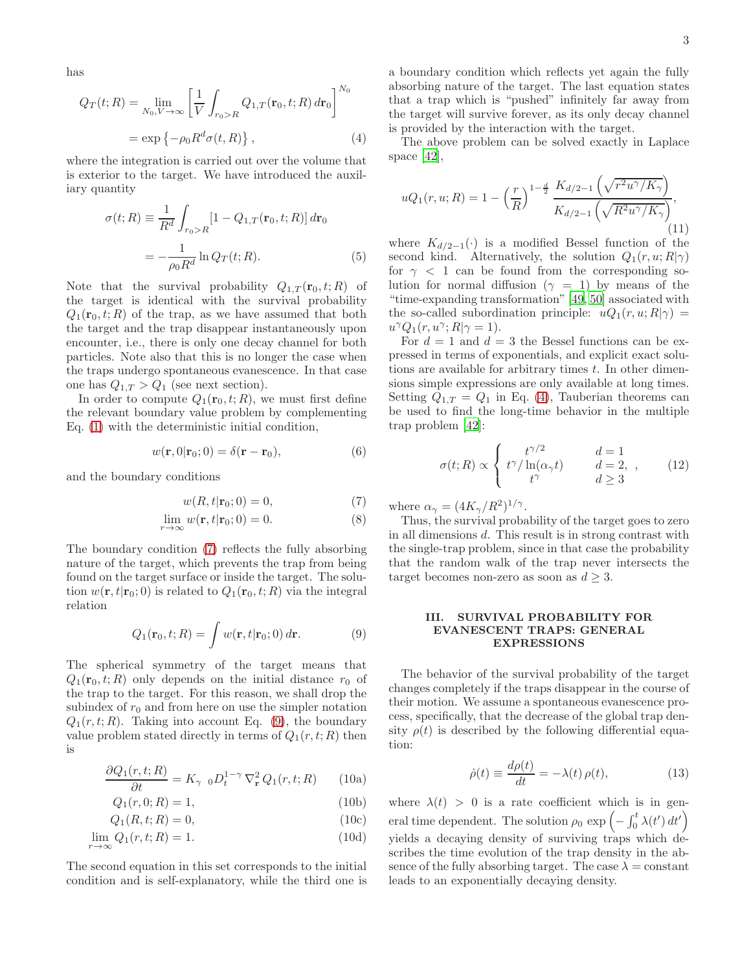has

<span id="page-2-3"></span>
$$
Q_T(t;R) = \lim_{N_0, V \to \infty} \left[ \frac{1}{V} \int_{r_0 > R} Q_{1,T}(\mathbf{r}_0, t; R) d\mathbf{r}_0 \right]^{N_0}
$$

$$
= \exp \left\{-\rho_0 R^d \sigma(t, R)\right\}, \tag{4}
$$

where the integration is carried out over the volume that is exterior to the target. We have introduced the auxiliary quantity

<span id="page-2-6"></span>
$$
\sigma(t;R) \equiv \frac{1}{R^d} \int_{r_0 > R} [1 - Q_{1,T}(\mathbf{r}_0, t; R)] d\mathbf{r}_0
$$

$$
= -\frac{1}{\rho_0 R^d} \ln Q_T(t;R). \tag{5}
$$

Note that the survival probability  $Q_{1,T}(\mathbf{r}_0,t;R)$  of the target is identical with the survival probability  $Q_1(r_0, t; R)$  of the trap, as we have assumed that both the target and the trap disappear instantaneously upon encounter, i.e., there is only one decay channel for both particles. Note also that this is no longer the case when the traps undergo spontaneous evanescence. In that case one has  $Q_{1,T} > Q_1$  (see next section).

In order to compute  $Q_1(\mathbf{r}_0, t; R)$ , we must first define the relevant boundary value problem by complementing Eq. [\(1\)](#page-1-1) with the deterministic initial condition,

$$
w(\mathbf{r},0|\mathbf{r}_0;0) = \delta(\mathbf{r}-\mathbf{r}_0),\tag{6}
$$

and the boundary conditions

$$
w(R, t | \mathbf{r}_0; 0) = 0,\t\t(7)
$$

$$
\lim_{r \to \infty} w(\mathbf{r}, t | \mathbf{r}_0; 0) = 0. \tag{8}
$$

The boundary condition [\(7\)](#page-2-1) reflects the fully absorbing nature of the target, which prevents the trap from being found on the target surface or inside the target. The solution  $w(\mathbf{r}, t | \mathbf{r}_0; 0)$  is related to  $Q_1(\mathbf{r}_0, t; R)$  via the integral relation

<span id="page-2-2"></span>
$$
Q_1(\mathbf{r}_0, t; R) = \int w(\mathbf{r}, t | \mathbf{r}_0; 0) d\mathbf{r}.
$$
 (9)

The spherical symmetry of the target means that  $Q_1(r_0, t; R)$  only depends on the initial distance  $r_0$  of the trap to the target. For this reason, we shall drop the subindex of  $r_0$  and from here on use the simpler notation  $Q_1(r, t; R)$ . Taking into account Eq. [\(9\)](#page-2-2), the boundary value problem stated directly in terms of  $Q_1(r, t; R)$  then is

<span id="page-2-5"></span>
$$
\frac{\partial Q_1(r,t;R)}{\partial t} = K_{\gamma 0} D_t^{1-\gamma} \nabla_{\mathbf{r}}^2 Q_1(r,t;R)
$$
 (10a)

$$
Q_1(r, 0; R) = 1,\t(10b)
$$

$$
Q_1(R, t; R) = 0,\t(10c)
$$

$$
\lim_{r \to \infty} Q_1(r, t; R) = 1. \tag{10d}
$$

The second equation in this set corresponds to the initial condition and is self-explanatory, while the third one is a boundary condition which reflects yet again the fully absorbing nature of the target. The last equation states that a trap which is "pushed" infinitely far away from the target will survive forever, as its only decay channel is provided by the interaction with the target.

The above problem can be solved exactly in Laplace space [\[42\]](#page-9-7),

<span id="page-2-7"></span>
$$
uQ_1(r, u; R) = 1 - \left(\frac{r}{R}\right)^{1 - \frac{d}{2}} \frac{K_{d/2 - 1}\left(\sqrt{r^2 u^{\gamma}/K_{\gamma}}\right)}{K_{d/2 - 1}\left(\sqrt{R^2 u^{\gamma}/K_{\gamma}}\right)},
$$
\n(11)

where  $K_{d/2-1}(\cdot)$  is a modified Bessel function of the second kind. Alternatively, the solution  $Q_1(r, u; R|\gamma)$ for  $\gamma$  < 1 can be found from the corresponding solution for normal diffusion  $(\gamma = 1)$  by means of the "time-expanding transformation" [\[49](#page-9-12), [50](#page-9-13)] associated with the so-called subordination principle:  $uQ_1(r, u; R|\gamma) =$  $u^{\gamma}Q_1(r, u^{\gamma}; R|\gamma=1).$ 

For  $d = 1$  and  $d = 3$  the Bessel functions can be expressed in terms of exponentials, and explicit exact solutions are available for arbitrary times  $t$ . In other dimensions simple expressions are only available at long times. Setting  $Q_{1,T} = Q_1$  in Eq. [\(4\)](#page-2-3), Tauberian theorems can be used to find the long-time behavior in the multiple trap problem [\[42](#page-9-7)]:

<span id="page-2-8"></span>
$$
\sigma(t;R) \propto \begin{cases} t^{\gamma/2} & d=1\\ t^{\gamma} / \ln(\alpha_{\gamma} t) & d=2, \\ t^{\gamma} & d \ge 3 \end{cases}
$$
 (12)

<span id="page-2-1"></span>where  $\alpha_{\gamma} = (4K_{\gamma}/R^2)^{1/\gamma}$ .

Thus, the survival probability of the target goes to zero in all dimensions d. This result is in strong contrast with the single-trap problem, since in that case the probability that the random walk of the trap never intersects the target becomes non-zero as soon as  $d \geq 3$ .

#### <span id="page-2-0"></span>III. SURVIVAL PROBABILITY FOR EVANESCENT TRAPS: GENERAL EXPRESSIONS

The behavior of the survival probability of the target changes completely if the traps disappear in the course of their motion. We assume a spontaneous evanescence process, specifically, that the decrease of the global trap density  $\rho(t)$  is described by the following differential equation:

<span id="page-2-4"></span>
$$
\dot{\rho}(t) \equiv \frac{d\rho(t)}{dt} = -\lambda(t)\,\rho(t),\tag{13}
$$

where  $\lambda(t) > 0$  is a rate coefficient which is in general time dependent. The solution  $\rho_0 \exp\left(-\int_0^t \lambda(t') dt'\right)$ yields a decaying density of surviving traps which describes the time evolution of the trap density in the absence of the fully absorbing target. The case  $\lambda = constant$ leads to an exponentially decaying density.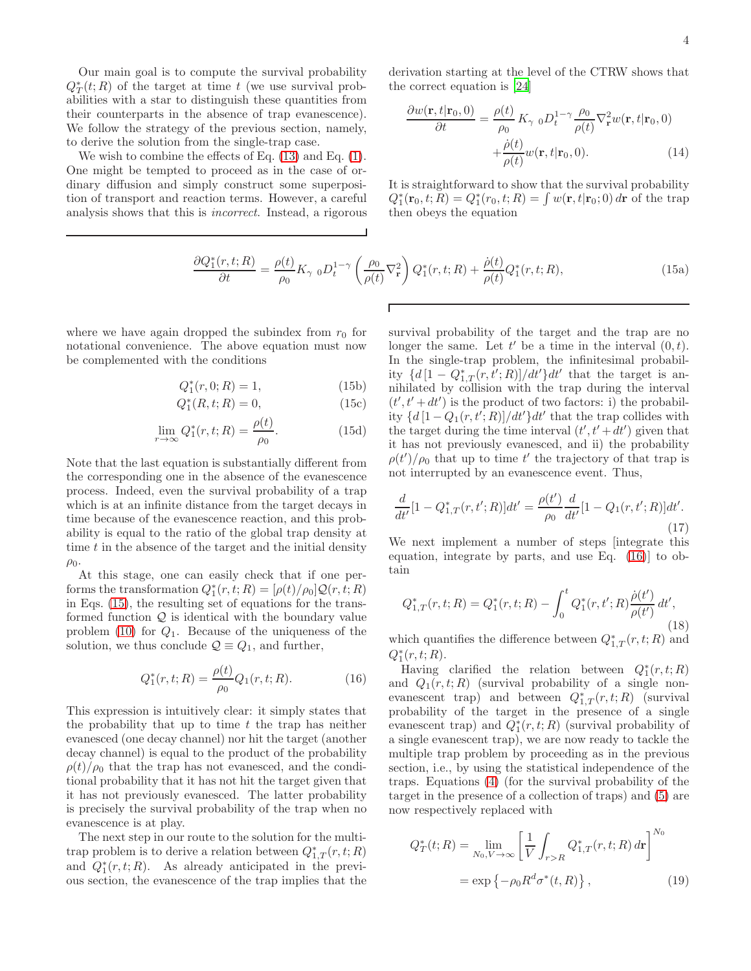Our main goal is to compute the survival probability  $Q_T^*(t;R)$  of the target at time t (we use survival probabilities with a star to distinguish these quantities from their counterparts in the absence of trap evanescence). We follow the strategy of the previous section, namely, to derive the solution from the single-trap case.

We wish to combine the effects of Eq.  $(13)$  and Eq.  $(1)$ . One might be tempted to proceed as in the case of ordinary diffusion and simply construct some superposition of transport and reaction terms. However, a careful analysis shows that this is incorrect. Instead, a rigorous derivation starting at the level of the CTRW shows that the correct equation is [\[24\]](#page-8-17)

$$
\frac{\partial w(\mathbf{r},t|\mathbf{r}_0,0)}{\partial t} = \frac{\rho(t)}{\rho_0} K_{\gamma} {}_{0}D_t^{1-\gamma} \frac{\rho_0}{\rho(t)} \nabla_{\mathbf{r}}^2 w(\mathbf{r},t|\mathbf{r}_0,0) + \frac{\dot{\rho}(t)}{\rho(t)} w(\mathbf{r},t|\mathbf{r}_0,0). \tag{14}
$$

<span id="page-3-0"></span>It is straightforward to show that the survival probability  $Q_1^*(\mathbf{r}_0, t; \tilde{R}) = Q_1^*(r_0, t; R) = \int w(\mathbf{r}, t | \mathbf{r}_0; 0) d\mathbf{r}$  of the trap then obeys the equation

<span id="page-3-3"></span>
$$
\frac{\partial Q_1^*(r,t;R)}{\partial t} = \frac{\rho(t)}{\rho_0} K_{\gamma 0} D_t^{1-\gamma} \left(\frac{\rho_0}{\rho(t)} \nabla_{\mathbf{r}}^2\right) Q_1^*(r,t;R) + \frac{\dot{\rho}(t)}{\rho(t)} Q_1^*(r,t;R),\tag{15a}
$$

where we have again dropped the subindex from  $r_0$  for notational convenience. The above equation must now be complemented with the conditions

$$
Q_1^*(r, 0; R) = 1,\t(15b)
$$

$$
Q_1^*(R, t; R) = 0, \t(15c)
$$

$$
\lim_{r \to \infty} Q_1^*(r, t; R) = \frac{\rho(t)}{\rho_0}.
$$
\n(15d)

Note that the last equation is substantially different from the corresponding one in the absence of the evanescence process. Indeed, even the survival probability of a trap which is at an infinite distance from the target decays in time because of the evanescence reaction, and this probability is equal to the ratio of the global trap density at time  $t$  in the absence of the target and the initial density  $\rho_0$ .

At this stage, one can easily check that if one performs the transformation  $Q_1^*(r, t; R) = [\rho(t)/\rho_0]Q(r, t; R)$ in Eqs. [\(15\)](#page-3-0), the resulting set of equations for the transformed function  $Q$  is identical with the boundary value problem  $(10)$  for  $Q_1$ . Because of the uniqueness of the solution, we thus conclude  $\mathcal{Q} \equiv Q_1$ , and further,

<span id="page-3-1"></span>
$$
Q_1^*(r,t;R) = \frac{\rho(t)}{\rho_0} Q_1(r,t;R). \tag{16}
$$

This expression is intuitively clear: it simply states that the probability that up to time  $t$  the trap has neither evanesced (one decay channel) nor hit the target (another decay channel) is equal to the product of the probability  $\rho(t)/\rho_0$  that the trap has not evanesced, and the conditional probability that it has not hit the target given that it has not previously evanesced. The latter probability is precisely the survival probability of the trap when no evanescence is at play.

The next step in our route to the solution for the multitrap problem is to derive a relation between  $Q_{1,T}^*(r,t;R)$ and  $Q_1^*(r,t;R)$ . As already anticipated in the previous section, the evanescence of the trap implies that the survival probability of the target and the trap are no longer the same. Let  $t'$  be a time in the interval  $(0, t)$ . In the single-trap problem, the infinitesimal probability  $\{d\left[1-\overline{Q_{1,T}^*(r,t';R)}\right]/dt'\}dt'$  that the target is annihilated by collision with the trap during the interval  $(t', t' + dt')$  is the product of two factors: i) the probability  $\{d\left[1-Q_1(r,t';R)\right]/dt'\}dt'$  that the trap collides with the target during the time interval  $(t', t' + dt')$  given that it has not previously evanesced, and ii) the probability  $\rho(t')/\rho_0$  that up to time t' the trajectory of that trap is not interrupted by an evanescence event. Thus,

$$
\frac{d}{dt'}[1 - Q_{1,T}^*(r, t'; R)]dt' = \frac{\rho(t')}{\rho_0} \frac{d}{dt'}[1 - Q_1(r, t'; R)]dt'.
$$
\n(17)

We next implement a number of steps [integrate this equation, integrate by parts, and use Eq. [\(16\)](#page-3-1)] to obtain

<span id="page-3-2"></span>
$$
Q_{1,T}^*(r,t;R) = Q_1^*(r,t;R) - \int_0^t Q_1^*(r,t';R)\frac{\dot{\rho}(t')}{\rho(t')}dt',\tag{18}
$$

which quantifies the difference between  $Q_{1,T}^*(r,t;R)$  and  $Q_1^*(r,t;R)$ .

Having clarified the relation between  $Q_1^*(r, t; R)$ and  $Q_1(r, t; R)$  (survival probability of a single nonevanescent trap) and between  $Q_{1,T}^*(r,t;R)$  (survival probability of the target in the presence of a single evanescent trap) and  $\widetilde{Q}_1^*(r,t;R)$  (survival probability of a single evanescent trap), we are now ready to tackle the multiple trap problem by proceeding as in the previous section, i.e., by using the statistical independence of the traps. Equations [\(4\)](#page-2-3) (for the survival probability of the target in the presence of a collection of traps) and [\(5\)](#page-2-6) are now respectively replaced with

$$
Q_T^*(t;R) = \lim_{N_0, V \to \infty} \left[ \frac{1}{V} \int_{r > R} Q_{1,T}^*(r,t;R) \, dr \right]^{N_0}
$$

$$
= \exp \left\{ -\rho_0 R^d \sigma^*(t,R) \right\}, \tag{19}
$$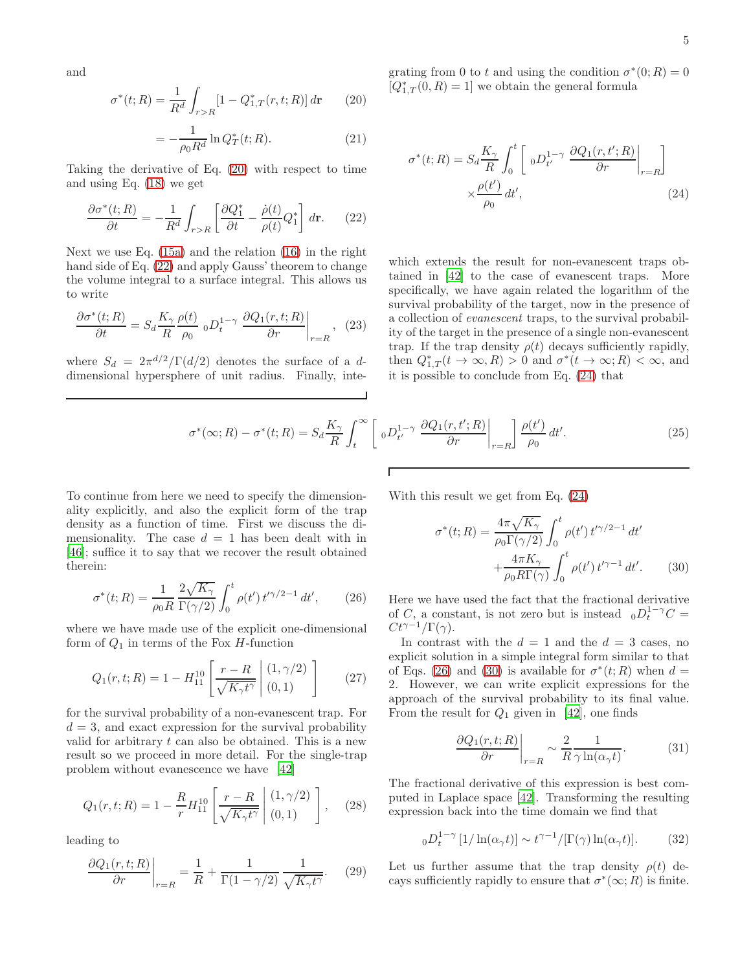and

<span id="page-4-0"></span>
$$
\sigma^*(t;R) = \frac{1}{R^d} \int_{r>R} [1 - Q_{1,T}^*(r,t;R)] dr \qquad (20)
$$

$$
= -\frac{1}{\rho_0 R^d} \ln Q_T^*(t;R). \tag{21}
$$

Taking the derivative of Eq. [\(20\)](#page-4-0) with respect to time and using Eq. [\(18\)](#page-3-2) we get

<span id="page-4-1"></span>
$$
\frac{\partial \sigma^*(t;R)}{\partial t} = -\frac{1}{R^d} \int_{r>R} \left[ \frac{\partial Q_1^*}{\partial t} - \frac{\dot{\rho}(t)}{\rho(t)} Q_1^* \right] \, d\mathbf{r}.
$$
 (22)

Next we use Eq. [\(15a\)](#page-3-3) and the relation [\(16\)](#page-3-1) in the right hand side of Eq.  $(22)$  and apply Gauss' theorem to change the volume integral to a surface integral. This allows us to write

$$
\frac{\partial \sigma^*(t;R)}{\partial t} = S_d \frac{K_\gamma}{R} \frac{\rho(t)}{\rho_0} \left. {}_0D_t^{1-\gamma} \left. \frac{\partial Q_1(r,t;R)}{\partial r} \right|_{r=R}, \right. (23)
$$

where  $S_d = 2\pi^{d/2}/\Gamma(d/2)$  denotes the surface of a ddimensional hypersphere of unit radius. Finally, integrating from 0 to t and using the condition  $\sigma^*(0;R) = 0$  $[Q_{1,T}^*(0,R) = 1]$  we obtain the general formula

<span id="page-4-2"></span>
$$
\sigma^*(t;R) = S_d \frac{K_\gamma}{R} \int_0^t \left[ 0 D_{t'}^{1-\gamma} \left. \frac{\partial Q_1(r,t';R)}{\partial r} \right|_{r=R} \right] \times \frac{\rho(t')}{\rho_0} dt', \tag{24}
$$

which extends the result for non-evanescent traps obtained in [\[42\]](#page-9-7) to the case of evanescent traps. More specifically, we have again related the logarithm of the survival probability of the target, now in the presence of a collection of evanescent traps, to the survival probability of the target in the presence of a single non-evanescent trap. If the trap density  $\rho(t)$  decays sufficiently rapidly, then  $Q_{1,T}^*(t \to \infty, R) > 0$  and  $\sigma^*(t \to \infty, R) < \infty$ , and it is possible to conclude from Eq. [\(24\)](#page-4-2) that

<span id="page-4-5"></span>
$$
\sigma^*(\infty;R) - \sigma^*(t;R) = S_d \frac{K_\gamma}{R} \int_t^\infty \left[ \left. _0D_{t'}^{1-\gamma} \left. \frac{\partial Q_1(r,t';R)}{\partial r} \right|_{r=R} \right] \frac{\rho(t')}{\rho_0} dt' \right]. \tag{25}
$$

To continue from here we need to specify the dimensionality explicitly, and also the explicit form of the trap density as a function of time. First we discuss the dimensionality. The case  $d = 1$  has been dealt with in [\[46\]](#page-9-9); suffice it to say that we recover the result obtained therein:

<span id="page-4-3"></span>
$$
\sigma^*(t;R) = \frac{1}{\rho_0 R} \frac{2\sqrt{K_\gamma}}{\Gamma(\gamma/2)} \int_0^t \rho(t') \, t'^{\gamma/2 - 1} \, dt', \qquad (26)
$$

where we have made use of the explicit one-dimensional form of  $Q_1$  in terms of the Fox H-function

$$
Q_1(r,t;R) = 1 - H_{11}^{10} \left[ \frac{r - R}{\sqrt{K_{\gamma}t^{\gamma}}} \middle| \begin{array}{c} (1, \gamma/2) \\ (0, 1) \end{array} \right] \tag{27}
$$

for the survival probability of a non-evanescent trap. For  $d = 3$ , and exact expression for the survival probability valid for arbitrary  $t$  can also be obtained. This is a new result so we proceed in more detail. For the single-trap problem without evanescence we have [\[42](#page-9-7)]

$$
Q_1(r, t; R) = 1 - \frac{R}{r} H_{11}^{10} \left[ \frac{r - R}{\sqrt{K_\gamma t^\gamma}} \middle| \begin{array}{c} (1, \gamma/2) \\ (0, 1) \end{array} \right], \quad (28)
$$

leading to

$$
\left. \frac{\partial Q_1(r,t;R)}{\partial r} \right|_{r=R} = \frac{1}{R} + \frac{1}{\Gamma(1-\gamma/2)} \frac{1}{\sqrt{K_\gamma t^\gamma}}.
$$
 (29)

With this result we get from Eq. [\(24\)](#page-4-2)

<span id="page-4-4"></span>
$$
\sigma^*(t;R) = \frac{4\pi\sqrt{K_{\gamma}}}{\rho_0\Gamma(\gamma/2)} \int_0^t \rho(t') t'^{\gamma/2-1} dt' + \frac{4\pi K_{\gamma}}{\rho_0 R \Gamma(\gamma)} \int_0^t \rho(t') t'^{\gamma-1} dt'.
$$
(30)

Here we have used the fact that the fractional derivative of C, a constant, is not zero but is instead  $_0D_t^{1-\gamma}C=$  $Ct^{\gamma-1}/\Gamma(\gamma).$ 

In contrast with the  $d = 1$  and the  $d = 3$  cases, no explicit solution in a simple integral form similar to that of Eqs. [\(26\)](#page-4-3) and [\(30\)](#page-4-4) is available for  $\sigma^*(t;R)$  when  $d=$ 2. However, we can write explicit expressions for the approach of the survival probability to its final value. From the result for  $Q_1$  given in [\[42\]](#page-9-7), one finds

<span id="page-4-6"></span>
$$
\left. \frac{\partial Q_1(r,t;R)}{\partial r} \right|_{r=R} \sim \frac{2}{R} \frac{1}{\gamma \ln(\alpha_\gamma t)}.
$$
 (31)

The fractional derivative of this expression is best computed in Laplace space [\[42](#page-9-7)]. Transforming the resulting expression back into the time domain we find that

<span id="page-4-7"></span>
$$
{}_0D_t^{1-\gamma}\left[1/\ln(\alpha_\gamma t)\right] \sim t^{\gamma-1}/[\Gamma(\gamma)\ln(\alpha_\gamma t)].\tag{32}
$$

Let us further assume that the trap density  $\rho(t)$  decays sufficiently rapidly to ensure that  $\sigma^*(\infty, R)$  is finite.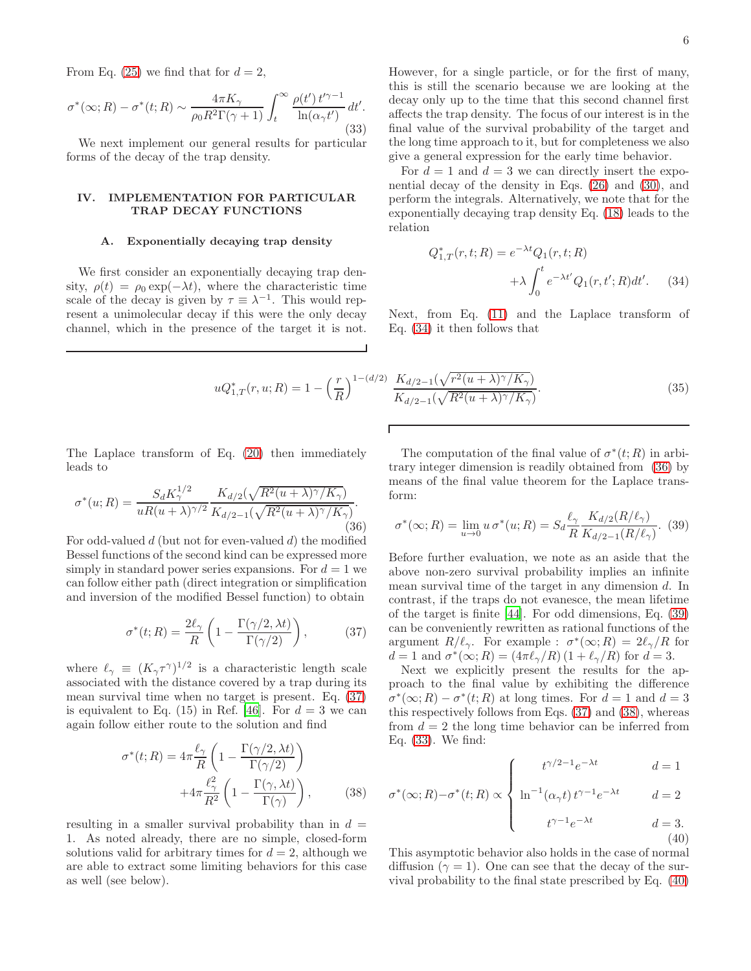From Eq. [\(25\)](#page-4-5) we find that for  $d = 2$ ,

<span id="page-5-6"></span>
$$
\sigma^*(\infty;R) - \sigma^*(t;R) \sim \frac{4\pi K_\gamma}{\rho_0 R^2 \Gamma(\gamma+1)} \int_t^\infty \frac{\rho(t')\, t'^{\gamma-1}}{\ln(\alpha_\gamma t')} \, dt'.
$$
\n(33)

We next implement our general results for particular forms of the decay of the trap density.

## <span id="page-5-0"></span>IV. IMPLEMENTATION FOR PARTICULAR TRAP DECAY FUNCTIONS

#### A. Exponentially decaying trap density

We first consider an exponentially decaying trap density,  $\rho(t) = \rho_0 \exp(-\lambda t)$ , where the characteristic time scale of the decay is given by  $\tau \equiv \lambda^{-1}$ . This would represent a unimolecular decay if this were the only decay channel, which in the presence of the target it is not.

For  $d = 1$  and  $d = 3$  we can directly insert the exponential decay of the density in Eqs. [\(26\)](#page-4-3) and [\(30\)](#page-4-4), and perform the integrals. Alternatively, we note that for the exponentially decaying trap density Eq. [\(18\)](#page-3-2) leads to the relation

<span id="page-5-1"></span>
$$
Q_{1,T}^*(r,t;R) = e^{-\lambda t} Q_1(r,t;R)
$$

$$
+ \lambda \int_0^t e^{-\lambda t'} Q_1(r,t';R) dt'. \quad (34)
$$

Next, from Eq. [\(11\)](#page-2-7) and the Laplace transform of Eq. [\(34\)](#page-5-1) it then follows that

$$
uQ_{1,T}^*(r,u;R) = 1 - \left(\frac{r}{R}\right)^{1 - (d/2)} \frac{K_{d/2-1}(\sqrt{r^2(u+\lambda)^\gamma/K_\gamma})}{K_{d/2-1}(\sqrt{R^2(u+\lambda)^\gamma/K_\gamma})}.
$$
(35)

Г

The Laplace transform of Eq. [\(20\)](#page-4-0) then immediately leads to

<span id="page-5-3"></span>
$$
\sigma^*(u;R) = \frac{S_d K_\gamma^{1/2}}{uR(u+\lambda)^{\gamma/2}} \frac{K_{d/2}(\sqrt{R^2(u+\lambda)^\gamma/K_\gamma})}{K_{d/2-1}(\sqrt{R^2(u+\lambda)^\gamma/K_\gamma})}.
$$
\n(36)

For odd-valued  $d$  (but not for even-valued  $d$ ) the modified Bessel functions of the second kind can be expressed more simply in standard power series expansions. For  $d = 1$  we can follow either path (direct integration or simplification and inversion of the modified Bessel function) to obtain

<span id="page-5-2"></span>
$$
\sigma^*(t;R) = \frac{2\ell_\gamma}{R} \left( 1 - \frac{\Gamma(\gamma/2,\lambda t)}{\Gamma(\gamma/2)} \right),\tag{37}
$$

where  $\ell_{\gamma} \equiv (K_{\gamma} \tau^{\gamma})^{1/2}$  is a characteristic length scale associated with the distance covered by a trap during its mean survival time when no target is present. Eq. [\(37\)](#page-5-2) is equivalent to Eq. (15) in Ref. [\[46\]](#page-9-9). For  $d=3$  we can again follow either route to the solution and find

<span id="page-5-5"></span>
$$
\sigma^*(t;R) = 4\pi \frac{\ell_\gamma}{R} \left( 1 - \frac{\Gamma(\gamma/2, \lambda t)}{\Gamma(\gamma/2)} \right) + 4\pi \frac{\ell_\gamma^2}{R^2} \left( 1 - \frac{\Gamma(\gamma, \lambda t)}{\Gamma(\gamma)} \right),
$$
(38)

resulting in a smaller survival probability than in  $d =$ 1. As noted already, there are no simple, closed-form solutions valid for arbitrary times for  $d = 2$ , although we are able to extract some limiting behaviors for this case as well (see below).

The computation of the final value of  $\sigma^*(t;R)$  in arbitrary integer dimension is readily obtained from [\(36\)](#page-5-3) by means of the final value theorem for the Laplace transform:

<span id="page-5-4"></span>
$$
\sigma^*(\infty; R) = \lim_{u \to 0} u \sigma^*(u; R) = S_d \frac{\ell_\gamma}{R} \frac{K_{d/2}(R/\ell_\gamma)}{K_{d/2-1}(R/\ell_\gamma)}.
$$
 (39)

Before further evaluation, we note as an aside that the above non-zero survival probability implies an infinite mean survival time of the target in any dimension d. In contrast, if the traps do not evanesce, the mean lifetime of the target is finite [\[44\]](#page-9-14). For odd dimensions, Eq. [\(39\)](#page-5-4) can be conveniently rewritten as rational functions of the argument  $R/\ell_{\gamma}$ . For example :  $\sigma^*(\infty;R) = 2\ell_{\gamma}/R$  for  $d = 1$  and  $\sigma^*(\infty; R) = (4\pi \ell_{\gamma}/R) (1 + \ell_{\gamma}/R)$  for  $d = 3$ .

Next we explicitly present the results for the approach to the final value by exhibiting the difference  $\sigma^*(\infty; R) - \sigma^*(t; R)$  at long times. For  $d = 1$  and  $d = 3$ this respectively follows from Eqs. [\(37\)](#page-5-2) and [\(38\)](#page-5-5), whereas from  $d = 2$  the long time behavior can be inferred from Eq. [\(33\)](#page-5-6). We find:

<span id="page-5-7"></span>
$$
\sigma^*(\infty; R) - \sigma^*(t; R) \propto \begin{cases} t^{\gamma/2 - 1} e^{-\lambda t} & d = 1 \\ \ln^{-1}(\alpha_\gamma t) t^{\gamma - 1} e^{-\lambda t} & d = 2 \\ t^{\gamma - 1} e^{-\lambda t} & d = 3. \end{cases}
$$
(40)

This asymptotic behavior also holds in the case of normal diffusion ( $\gamma = 1$ ). One can see that the decay of the survival probability to the final state prescribed by Eq. [\(40\)](#page-5-7)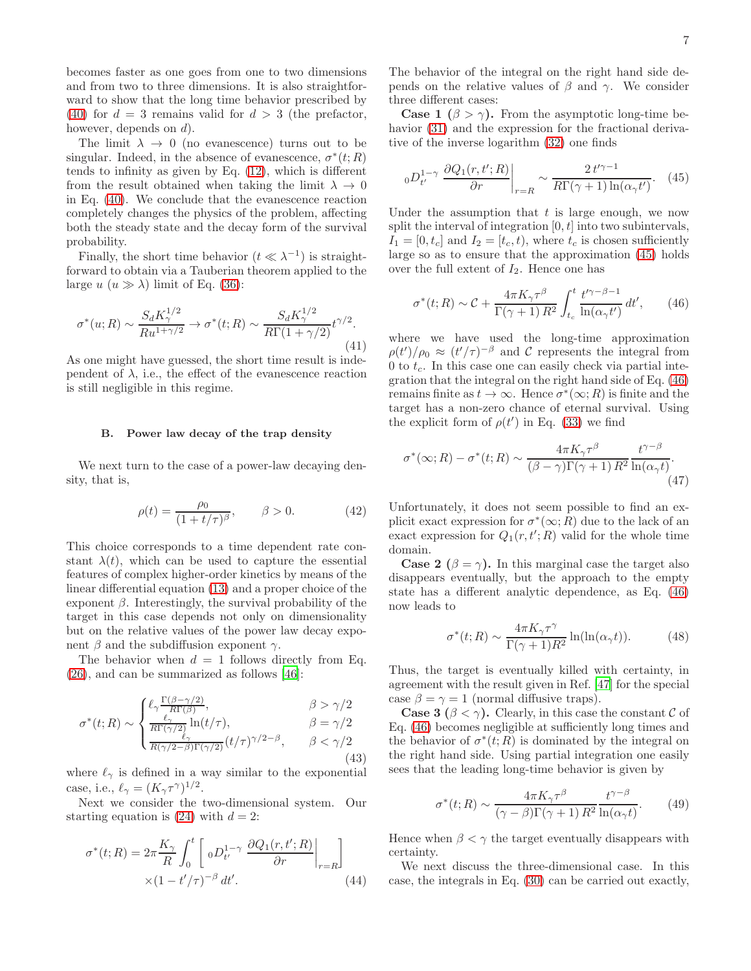becomes faster as one goes from one to two dimensions and from two to three dimensions. It is also straightforward to show that the long time behavior prescribed by [\(40\)](#page-5-7) for  $d = 3$  remains valid for  $d > 3$  (the prefactor, however, depends on d).

The limit  $\lambda \to 0$  (no evanescence) turns out to be singular. Indeed, in the absence of evanescence,  $\sigma^*(t;R)$ tends to infinity as given by Eq. [\(12\)](#page-2-8), which is different from the result obtained when taking the limit  $\lambda \to 0$ in Eq. [\(40\)](#page-5-7). We conclude that the evanescence reaction completely changes the physics of the problem, affecting both the steady state and the decay form of the survival probability.

Finally, the short time behavior  $(t \ll \lambda^{-1})$  is straightforward to obtain via a Tauberian theorem applied to the large  $u (u \gg \lambda)$  limit of Eq. [\(36\)](#page-5-3):

$$
\sigma^*(u;R) \sim \frac{S_d K_\gamma^{1/2}}{R u^{1+\gamma/2}} \to \sigma^*(t;R) \sim \frac{S_d K_\gamma^{1/2}}{R \Gamma(1+\gamma/2)} t^{\gamma/2}.
$$
\n(41)

As one might have guessed, the short time result is independent of  $\lambda$ , i.e., the effect of the evanescence reaction is still negligible in this regime.

#### B. Power law decay of the trap density

We next turn to the case of a power-law decaying density, that is,

$$
\rho(t) = \frac{\rho_0}{(1 + t/\tau)^{\beta}}, \qquad \beta > 0.
$$
 (42)

This choice corresponds to a time dependent rate constant  $\lambda(t)$ , which can be used to capture the essential features of complex higher-order kinetics by means of the linear differential equation [\(13\)](#page-2-4) and a proper choice of the exponent  $\beta$ . Interestingly, the survival probability of the target in this case depends not only on dimensionality but on the relative values of the power law decay exponent  $\beta$  and the subdiffusion exponent  $\gamma$ .

The behavior when  $d = 1$  follows directly from Eq. [\(26\)](#page-4-3), and can be summarized as follows [\[46](#page-9-9)]:

<span id="page-6-2"></span>
$$
\sigma^*(t;R) \sim \begin{cases} \ell_{\gamma} \frac{\Gamma(\beta-\gamma/2)}{R\Gamma(\beta)}, & \beta > \gamma/2\\ \frac{\ell_{\gamma}}{R\Gamma(\gamma/2)} \ln(t/\tau), & \beta = \gamma/2\\ \frac{\ell_{\gamma}}{R(\gamma/2-\beta)\Gamma(\gamma/2)} (t/\tau)^{\gamma/2-\beta}, & \beta < \gamma/2 \end{cases}
$$
(43)

where  $\ell_{\gamma}$  is defined in a way similar to the exponential case, i.e.,  $\ell_{\gamma} = (K_{\gamma} \tau^{\gamma})^{1/2}$ .

Next we consider the two-dimensional system. Our starting equation is [\(24\)](#page-4-2) with  $d = 2$ :

$$
\sigma^*(t;R) = 2\pi \frac{K_\gamma}{R} \int_0^t \left[ 0 D_{t'}^{1-\gamma} \left. \frac{\partial Q_1(r,t';R)}{\partial r} \right|_{r=R} \right] \times (1 - t'/\tau)^{-\beta} dt'. \tag{44}
$$

The behavior of the integral on the right hand side depends on the relative values of  $β$  and  $γ$ . We consider three different cases:

**Case 1** ( $\beta > \gamma$ ). From the asymptotic long-time behavior  $(31)$  and the expression for the fractional derivative of the inverse logarithm [\(32\)](#page-4-7) one finds

<span id="page-6-0"></span>
$$
{}_{0}D_{t'}^{1-\gamma} \left. \frac{\partial Q_1(r, t'; R)}{\partial r} \right|_{r=R} \sim \frac{2 t'^{\gamma-1}}{R\Gamma(\gamma+1)\ln(\alpha_\gamma t')} . \tag{45}
$$

Under the assumption that  $t$  is large enough, we now split the interval of integration  $[0, t]$  into two subintervals,  $I_1 = [0, t_c]$  and  $I_2 = [t_c, t)$ , where  $t_c$  is chosen sufficiently large so as to ensure that the approximation [\(45\)](#page-6-0) holds over the full extent of  $I_2$ . Hence one has

<span id="page-6-1"></span>
$$
\sigma^*(t;R) \sim \mathcal{C} + \frac{4\pi K_\gamma \tau^\beta}{\Gamma(\gamma+1)R^2} \int_{t_c}^t \frac{t'^{\gamma-\beta-1}}{\ln(\alpha_\gamma t')} dt',\qquad(46)
$$

where we have used the long-time approximation  $\rho(t')/\rho_0 \approx (t'/\tau)^{-\beta}$  and C represents the integral from  $0$  to  $t_c$ . In this case one can easily check via partial integration that the integral on the right hand side of Eq. [\(46\)](#page-6-1) remains finite as  $t \to \infty$ . Hence  $\sigma^*(\infty; R)$  is finite and the target has a non-zero chance of eternal survival. Using the explicit form of  $\rho(t')$  in Eq. [\(33\)](#page-5-6) we find

$$
\sigma^*(\infty;R) - \sigma^*(t;R) \sim \frac{4\pi K_\gamma \tau^\beta}{(\beta-\gamma)\Gamma(\gamma+1)R^2} \frac{t^{\gamma-\beta}}{\ln(\alpha_\gamma t)}.
$$
\n(47)

Unfortunately, it does not seem possible to find an explicit exact expression for  $\sigma^*(\infty; \hat{R})$  due to the lack of an exact expression for  $Q_1(r, t'; R)$  valid for the whole time domain.

**Case 2** ( $\beta = \gamma$ ). In this marginal case the target also disappears eventually, but the approach to the empty state has a different analytic dependence, as Eq. [\(46\)](#page-6-1) now leads to

$$
\sigma^*(t;R) \sim \frac{4\pi K_\gamma \tau^\gamma}{\Gamma(\gamma+1)R^2} \ln(\ln(\alpha_\gamma t)).\tag{48}
$$

Thus, the target is eventually killed with certainty, in agreement with the result given in Ref. [\[47](#page-9-10)] for the special case  $\beta = \gamma = 1$  (normal diffusive traps).

**Case 3** ( $\beta < \gamma$ ). Clearly, in this case the constant C of Eq. [\(46\)](#page-6-1) becomes negligible at sufficiently long times and the behavior of  $\sigma^*(t;R)$  is dominated by the integral on the right hand side. Using partial integration one easily sees that the leading long-time behavior is given by

$$
\sigma^*(t;R) \sim \frac{4\pi K_\gamma \tau^\beta}{(\gamma - \beta)\Gamma(\gamma + 1)R^2} \frac{t^{\gamma - \beta}}{\ln(\alpha_\gamma t)}.
$$
 (49)

Hence when  $\beta < \gamma$  the target eventually disappears with certainty.

We next discuss the three-dimensional case. In this case, the integrals in Eq. [\(30\)](#page-4-4) can be carried out exactly,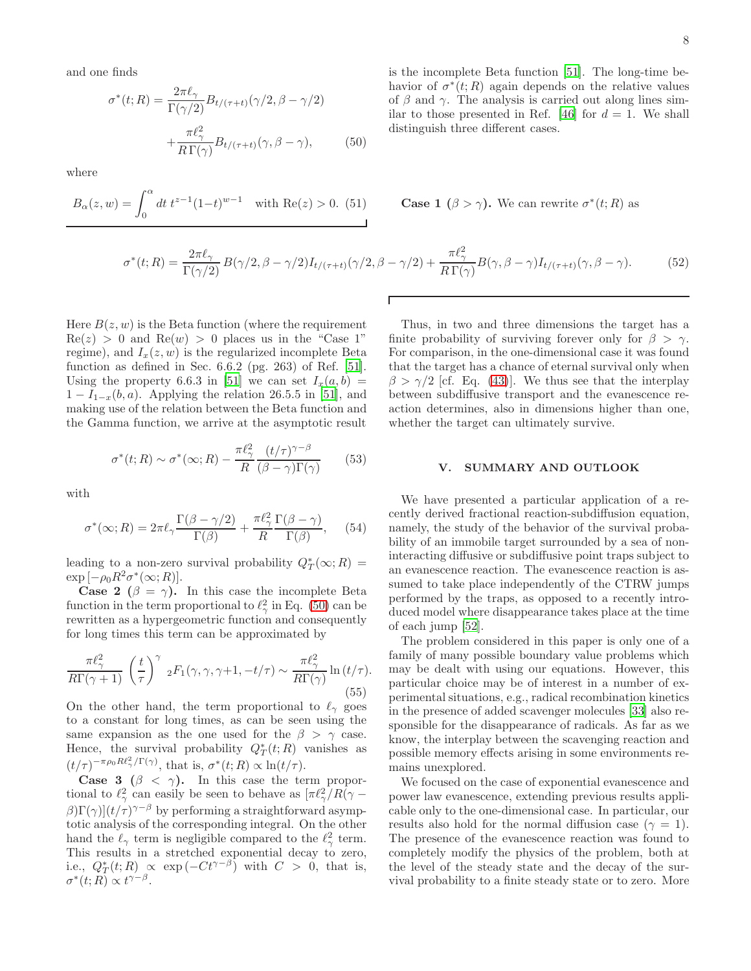and one finds

<span id="page-7-1"></span>
$$
\sigma^*(t;R) = \frac{2\pi\ell_\gamma}{\Gamma(\gamma/2)} B_{t/(\tau+t)}(\gamma/2, \beta - \gamma/2)
$$

$$
+ \frac{\pi\ell_\gamma^2}{R\Gamma(\gamma)} B_{t/(\tau+t)}(\gamma, \beta - \gamma), \qquad (50)
$$

where

$$
B_{\alpha}(z, w) = \int_0^{\alpha} dt \ t^{z-1} (1-t)^{w-1} \quad \text{with } \text{Re}(z) > 0. \tag{51}
$$

is the incomplete Beta function [\[51\]](#page-9-15). The long-time behavior of  $\sigma^*(t;R)$  again depends on the relative values of  $\beta$  and  $\gamma$ . The analysis is carried out along lines sim-ilar to those presented in Ref. [\[46](#page-9-9)] for  $d = 1$ . We shall distinguish three different cases.

**Case 1** ( $\beta > \gamma$ ). We can rewrite  $\sigma^*(t;R)$  as

$$
\sigma^*(t;R) = \frac{2\pi\ell_\gamma}{\Gamma(\gamma/2)} B(\gamma/2,\beta-\gamma/2) I_{t/(\tau+t)}(\gamma/2,\beta-\gamma/2) + \frac{\pi\ell_\gamma^2}{R\Gamma(\gamma)} B(\gamma,\beta-\gamma) I_{t/(\tau+t)}(\gamma,\beta-\gamma). \tag{52}
$$

Г

Here  $B(z, w)$  is the Beta function (where the requirement  $\text{Re}(z) > 0$  and  $\text{Re}(w) > 0$  places us in the "Case 1" regime), and  $I_x(z, w)$  is the regularized incomplete Beta function as defined in Sec. 6.6.2 (pg. 263) of Ref. [\[51\]](#page-9-15). Using the property 6.6.3 in [\[51\]](#page-9-15) we can set  $I_x(a, b)$  =  $1 - I_{1-x}(b, a)$ . Applying the relation 26.5.5 in [\[51\]](#page-9-15), and making use of the relation between the Beta function and the Gamma function, we arrive at the asymptotic result

$$
\sigma^*(t;R) \sim \sigma^*(\infty;R) - \frac{\pi \ell_\gamma^2}{R} \frac{(t/\tau)^{\gamma-\beta}}{(\beta-\gamma)\Gamma(\gamma)}
$$
(53)

with

$$
\sigma^*(\infty; R) = 2\pi \ell_\gamma \frac{\Gamma(\beta - \gamma/2)}{\Gamma(\beta)} + \frac{\pi \ell_\gamma^2}{R} \frac{\Gamma(\beta - \gamma)}{\Gamma(\beta)}, \quad (54)
$$

leading to a non-zero survival probability  $Q_T^*(\infty;R)$  =  $\exp[-\rho_0 R^2 \sigma^*(\infty;R)].$ 

**Case 2** ( $\beta = \gamma$ ). In this case the incomplete Beta function in the term proportional to  $\ell^2_\gamma$  in Eq. [\(50\)](#page-7-1) can be rewritten as a hypergeometric function and consequently for long times this term can be approximated by

$$
\frac{\pi \ell_{\gamma}^{2}}{R\Gamma(\gamma+1)} \left(\frac{t}{\tau}\right)^{\gamma} 2F_{1}(\gamma,\gamma,\gamma+1,-t/\tau) \sim \frac{\pi \ell_{\gamma}^{2}}{R\Gamma(\gamma)} \ln(t/\tau).
$$
\n(55)

On the other hand, the term proportional to  $\ell_{\gamma}$  goes to a constant for long times, as can be seen using the same expansion as the one used for the  $\beta > \gamma$  case. Hence, the survival probability  $Q_T^*(t;R)$  vanishes as  $(t/\tau)^{-\pi \rho_0 R \ell_{\gamma}^2/\Gamma(\gamma)}$ , that is,  $\sigma^*(t;R) \propto \ln(t/\tau)$ .

**Case 3** ( $\beta < \gamma$ ). In this case the term proportional to  $\ell^2_\gamma$  can easily be seen to behave as  $\left[\pi \ell^2_\gamma / R(\gamma - \ell)\right]$  $\beta$ ) $\Gamma(\gamma)$ ] $(t/\tau)^{\gamma-\beta}$  by performing a straightforward asymptotic analysis of the corresponding integral. On the other hand the  $\ell_{\gamma}$  term is negligible compared to the  $\ell_{\gamma}^2$  term. This results in a stretched exponential decay to zero, i.e.,  $Q_T^*(t;R) \propto \exp(-Ct^{\gamma-\beta})$  with  $C > 0$ , that is,  $\sigma^*(t;R) \propto t^{\gamma-\beta}.$ 

Thus, in two and three dimensions the target has a finite probability of surviving forever only for  $\beta > \gamma$ . For comparison, in the one-dimensional case it was found that the target has a chance of eternal survival only when  $\beta > \gamma/2$  [cf. Eq. [\(43\)](#page-6-2)]. We thus see that the interplay between subdiffusive transport and the evanescence reaction determines, also in dimensions higher than one, whether the target can ultimately survive.

## <span id="page-7-0"></span>V. SUMMARY AND OUTLOOK

We have presented a particular application of a recently derived fractional reaction-subdiffusion equation, namely, the study of the behavior of the survival probability of an immobile target surrounded by a sea of noninteracting diffusive or subdiffusive point traps subject to an evanescence reaction. The evanescence reaction is assumed to take place independently of the CTRW jumps performed by the traps, as opposed to a recently introduced model where disappearance takes place at the time of each jump [\[52](#page-9-16)].

The problem considered in this paper is only one of a family of many possible boundary value problems which may be dealt with using our equations. However, this particular choice may be of interest in a number of experimental situations, e.g., radical recombination kinetics in the presence of added scavenger molecules [\[33](#page-8-23)] also responsible for the disappearance of radicals. As far as we know, the interplay between the scavenging reaction and possible memory effects arising in some environments remains unexplored.

We focused on the case of exponential evanescence and power law evanescence, extending previous results applicable only to the one-dimensional case. In particular, our results also hold for the normal diffusion case ( $\gamma = 1$ ). The presence of the evanescence reaction was found to completely modify the physics of the problem, both at the level of the steady state and the decay of the survival probability to a finite steady state or to zero. More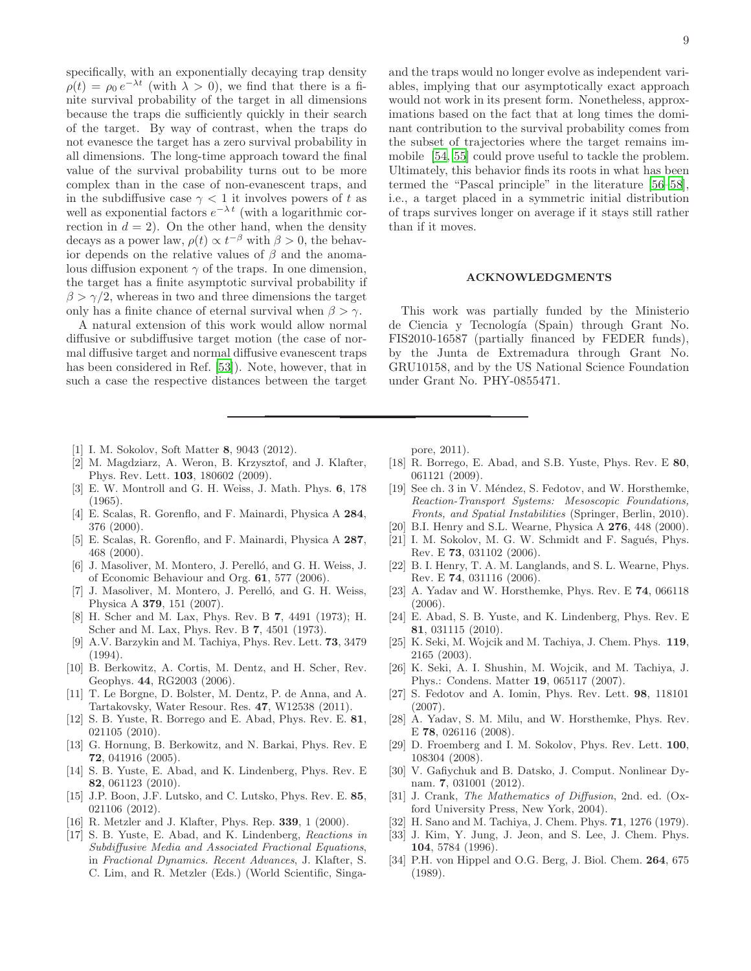specifically, with an exponentially decaying trap density  $\rho(t) = \rho_0 e^{-\lambda t}$  (with  $\lambda > 0$ ), we find that there is a finite survival probability of the target in all dimensions because the traps die sufficiently quickly in their search of the target. By way of contrast, when the traps do not evanesce the target has a zero survival probability in all dimensions. The long-time approach toward the final value of the survival probability turns out to be more complex than in the case of non-evanescent traps, and in the subdiffusive case  $\gamma$  < 1 it involves powers of t as well as exponential factors  $e^{-\lambda t}$  (with a logarithmic correction in  $d = 2$ ). On the other hand, when the density decays as a power law,  $\rho(t) \propto t^{-\beta}$  with  $\beta > 0$ , the behavior depends on the relative values of  $\beta$  and the anomalous diffusion exponent  $\gamma$  of the traps. In one dimension, the target has a finite asymptotic survival probability if  $\beta > \gamma/2$ , whereas in two and three dimensions the target only has a finite chance of eternal survival when  $\beta > \gamma$ .

A natural extension of this work would allow normal diffusive or subdiffusive target motion (the case of normal diffusive target and normal diffusive evanescent traps has been considered in Ref. [\[53](#page-9-17)]). Note, however, that in such a case the respective distances between the target

- <span id="page-8-0"></span>[1] I. M. Sokolov, Soft Matter 8, 9043 (2012).
- <span id="page-8-1"></span>[2] M. Magdziarz, A. Weron, B. Krzysztof, and J. Klafter, Phys. Rev. Lett. 103, 180602 (2009).
- <span id="page-8-2"></span>[3] E. W. Montroll and G. H. Weiss, J. Math. Phys. 6, 178 (1965).
- <span id="page-8-3"></span>[4] E. Scalas, R. Gorenflo, and F. Mainardi, Physica A 284, 376 (2000).
- [5] E. Scalas, R. Gorenflo, and F. Mainardi, Physica A 287, 468 (2000).
- [6] J. Masoliver, M. Montero, J. Perelló, and G. H. Weiss, J. of Economic Behaviour and Org. 61, 577 (2006).
- <span id="page-8-4"></span>[7] J. Masoliver, M. Montero, J. Perelló, and G. H. Weiss, Physica A 379, 151 (2007).
- <span id="page-8-5"></span>[8] H. Scher and M. Lax, Phys. Rev. B 7, 4491 (1973); H. Scher and M. Lax, Phys. Rev. B 7, 4501 (1973).
- <span id="page-8-6"></span>[9] A.V. Barzykin and M. Tachiya, Phys. Rev. Lett. 73, 3479 (1994).
- <span id="page-8-7"></span>[10] B. Berkowitz, A. Cortis, M. Dentz, and H. Scher, Rev. Geophys. 44, RG2003 (2006).
- <span id="page-8-8"></span>[11] T. Le Borgne, D. Bolster, M. Dentz, P. de Anna, and A. Tartakovsky, Water Resour. Res. 47, W12538 (2011).
- <span id="page-8-9"></span>[12] S. B. Yuste, R. Borrego and E. Abad, Phys. Rev. E. 81, 021105 (2010).
- <span id="page-8-10"></span>[13] G. Hornung, B. Berkowitz, and N. Barkai, Phys. Rev. E 72, 041916 (2005).
- <span id="page-8-18"></span>[14] S. B. Yuste, E. Abad, and K. Lindenberg, Phys. Rev. E 82, 061123 (2010).
- <span id="page-8-11"></span>[15] J.P. Boon, J.F. Lutsko, and C. Lutsko, Phys. Rev. E. 85, 021106 (2012).
- <span id="page-8-12"></span>[16] R. Metzler and J. Klafter, Phys. Rep. **339**, 1 (2000).
- <span id="page-8-13"></span>[17] S. B. Yuste, E. Abad, and K. Lindenberg, Reactions in Subdiffusive Media and Associated Fractional Equations, in Fractional Dynamics. Recent Advances, J. Klafter, S. C. Lim, and R. Metzler (Eds.) (World Scientific, Singa-

pore, 2011).

- <span id="page-8-14"></span>[18] R. Borrego, E. Abad, and S.B. Yuste, Phys. Rev. E 80, 061121 (2009).
- <span id="page-8-15"></span>[19] See ch. 3 in V. Méndez, S. Fedotov, and W. Horsthemke, Reaction-Transport Systems: Mesoscopic Foundations, Fronts, and Spatial Instabilities (Springer, Berlin, 2010).
- <span id="page-8-16"></span>[20] B.I. Henry and S.L. Wearne, Physica A 276, 448 (2000).
- [21] I. M. Sokolov, M. G. W. Schmidt and F. Sagués, Phys. Rev. E 73, 031102 (2006).
- [22] B. I. Henry, T. A. M. Langlands, and S. L. Wearne, Phys. Rev. E 74, 031116 (2006).
- [23] A. Yadav and W. Horsthemke, Phys. Rev. E 74, 066118 (2006).
- <span id="page-8-17"></span>[24] E. Abad, S. B. Yuste, and K. Lindenberg, Phys. Rev. E 81, 031115 (2010).
- <span id="page-8-19"></span>[25] K. Seki, M. Wojcik and M. Tachiya, J. Chem. Phys. 119, 2165 (2003).
- [26] K. Seki, A. I. Shushin, M. Wojcik, and M. Tachiya, J. Phys.: Condens. Matter 19, 065117 (2007).
- [27] S. Fedotov and A. Iomin, Phys. Rev. Lett. 98, 118101 (2007).
- [28] A. Yadav, S. M. Milu, and W. Horsthemke, Phys. Rev. E 78, 026116 (2008).
- [29] D. Froemberg and I. M. Sokolov, Phys. Rev. Lett. 100, 108304 (2008).
- <span id="page-8-20"></span>[30] V. Gafiychuk and B. Datsko, J. Comput. Nonlinear Dynam. 7, 031001 (2012).
- <span id="page-8-21"></span>[31] J. Crank, The Mathematics of Diffusion, 2nd. ed. (Oxford University Press, New York, 2004).
- <span id="page-8-22"></span>[32] H. Sano and M. Tachiya, J. Chem. Phys. 71, 1276 (1979).
- <span id="page-8-23"></span>[33] J. Kim, Y. Jung, J. Jeon, and S. Lee, J. Chem. Phys. 104, 5784 (1996).
- <span id="page-8-24"></span>[34] P.H. von Hippel and O.G. Berg, J. Biol. Chem. **264**, 675 (1989).

and the traps would no longer evolve as independent variables, implying that our asymptotically exact approach would not work in its present form. Nonetheless, approximations based on the fact that at long times the dominant contribution to the survival probability comes from the subset of trajectories where the target remains immobile [\[54,](#page-9-18) [55](#page-9-19)] could prove useful to tackle the problem. Ultimately, this behavior finds its roots in what has been termed the "Pascal principle" in the literature [\[56](#page-9-20)[–58\]](#page-9-21), i.e., a target placed in a symmetric initial distribution of traps survives longer on average if it stays still rather than if it moves.

#### ACKNOWLEDGMENTS

This work was partially funded by the Ministerio de Ciencia y Tecnología (Spain) through Grant No. FIS2010-16587 (partially financed by FEDER funds),

by the Junta de Extremadura through Grant No. GRU10158, and by the US National Science Foundation under Grant No. PHY-0855471.